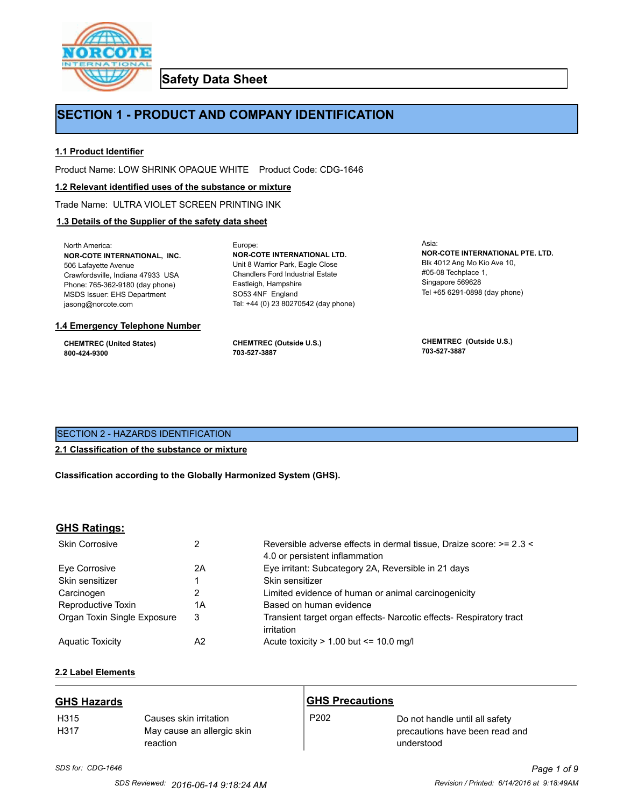

**Safety Data Sheet**

# **SECTION 1 - PRODUCT AND COMPANY IDENTIFICATION**

Europe:

## **1.1 Product Identifier**

Product Name: LOW SHRINK OPAQUE WHITE Product Code: CDG-1646

#### **1.2 Relevant identified uses of the substance or mixture**

Trade Name: ULTRA VIOLET SCREEN PRINTING INK

## **1.3 Details of the Supplier of the safety data sheet**

North America: **NOR-COTE INTERNATIONAL, INC.** 506 Lafayette Avenue Crawfordsville, Indiana 47933 USA Phone: 765-362-9180 (day phone) MSDS Issuer: EHS Department jasong@norcote.com

#### **1.4 Emergency Telephone Number**

**CHEMTREC (United States) 800-424-9300**

**CHEMTREC (Outside U.S.) 703-527-3887**

Eastleigh, Hampshire SO53 4NF England

**NOR-COTE INTERNATIONAL LTD.** Unit 8 Warrior Park, Eagle Close Chandlers Ford Industrial Estate

Tel: +44 (0) 23 80270542 (day phone)

Asia: **NOR-COTE INTERNATIONAL PTE. LTD.** Blk 4012 Ang Mo Kio Ave 10, #05-08 Techplace 1, Singapore 569628 Tel +65 6291-0898 (day phone)

**CHEMTREC (Outside U.S.) 703-527-3887**

## SECTION 2 - HAZARDS IDENTIFICATION

## **2.1 Classification of the substance or mixture**

**Classification according to the Globally Harmonized System (GHS).**

### **GHS Ratings:**

| <b>Skin Corrosive</b>       |    | Reversible adverse effects in dermal tissue, Draize score: >= 2.3 <<br>4.0 or persistent inflammation |
|-----------------------------|----|-------------------------------------------------------------------------------------------------------|
| Eve Corrosive               | 2Α | Eye irritant: Subcategory 2A, Reversible in 21 days                                                   |
| Skin sensitizer             |    | Skin sensitizer                                                                                       |
| Carcinogen                  | 2  | Limited evidence of human or animal carcinogenicity                                                   |
| Reproductive Toxin          | 1Α | Based on human evidence                                                                               |
| Organ Toxin Single Exposure | 3  | Transient target organ effects- Narcotic effects- Respiratory tract<br>irritation                     |
| <b>Aguatic Toxicity</b>     | A2 | Acute toxicity $> 1.00$ but $\leq 10.0$ mg/l                                                          |

## **2.2 Label Elements**

| <b>GHS Hazards</b>       |                                                                  | <b>GHS Precautions</b> |                                                                                |
|--------------------------|------------------------------------------------------------------|------------------------|--------------------------------------------------------------------------------|
| H <sub>315</sub><br>H317 | Causes skin irritation<br>May cause an allergic skin<br>reaction | P <sub>202</sub>       | Do not handle until all safety<br>precautions have been read and<br>understood |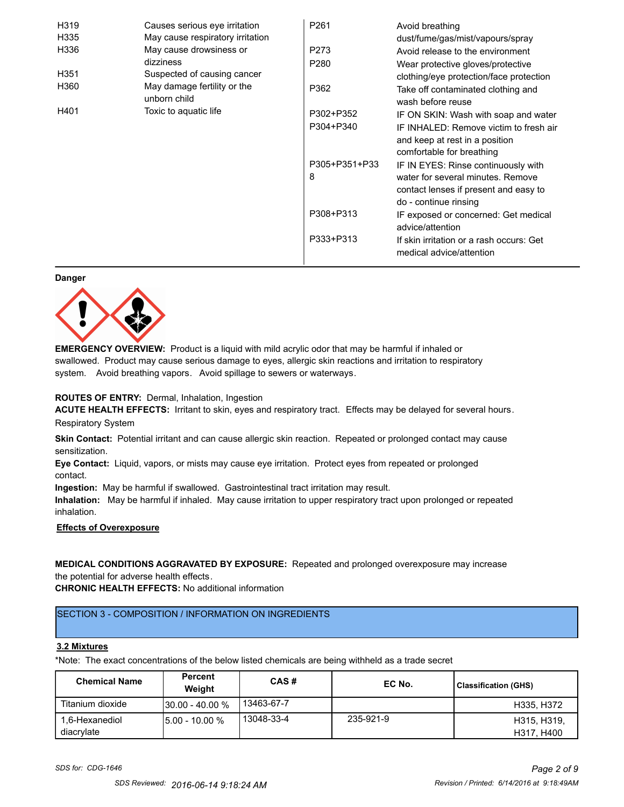| H319 | Causes serious eye irritation               | P <sub>261</sub> | Avoid breathing                                                      |
|------|---------------------------------------------|------------------|----------------------------------------------------------------------|
| H335 | May cause respiratory irritation            |                  | dust/fume/gas/mist/vapours/spray                                     |
| H336 | May cause drowsiness or                     | P273             | Avoid release to the environment                                     |
|      | dizziness                                   | P <sub>280</sub> | Wear protective gloves/protective                                    |
| H351 | Suspected of causing cancer                 |                  | clothing/eye protection/face protection                              |
| H360 | May damage fertility or the<br>unborn child | P362             | Take off contaminated clothing and<br>wash before reuse              |
| H401 | Toxic to aquatic life                       | P302+P352        | IF ON SKIN: Wash with soap and water                                 |
|      |                                             | P304+P340        | IF INHALED: Remove victim to fresh air                               |
|      |                                             |                  | and keep at rest in a position                                       |
|      |                                             |                  | comfortable for breathing                                            |
|      |                                             | P305+P351+P33    | IF IN EYES: Rinse continuously with                                  |
|      |                                             | 8                | water for several minutes. Remove                                    |
|      |                                             |                  | contact lenses if present and easy to                                |
|      |                                             |                  | do - continue rinsing                                                |
|      |                                             | P308+P313        | IF exposed or concerned: Get medical                                 |
|      |                                             |                  | advice/attention                                                     |
|      |                                             | P333+P313        | If skin irritation or a rash occurs: Get<br>medical advice/attention |

#### **Danger**



**EMERGENCY OVERVIEW:** Product is a liquid with mild acrylic odor that may be harmful if inhaled or swallowed. Product may cause serious damage to eyes, allergic skin reactions and irritation to respiratory system. Avoid breathing vapors. Avoid spillage to sewers or waterways.

### **ROUTES OF ENTRY:** Dermal, Inhalation, Ingestion

**ACUTE HEALTH EFFECTS:** Irritant to skin, eyes and respiratory tract. Effects may be delayed for several hours. Respiratory System

**Skin Contact:** Potential irritant and can cause allergic skin reaction. Repeated or prolonged contact may cause sensitization.

**Eye Contact:** Liquid, vapors, or mists may cause eye irritation. Protect eyes from repeated or prolonged contact.

**Ingestion:** May be harmful if swallowed. Gastrointestinal tract irritation may result.

**Inhalation:** May be harmful if inhaled. May cause irritation to upper respiratory tract upon prolonged or repeated inhalation.

## **Effects of Overexposure**

## **MEDICAL CONDITIONS AGGRAVATED BY EXPOSURE:** Repeated and prolonged overexposure may increase the potential for adverse health effects.

**CHRONIC HEALTH EFFECTS:** No additional information

## SECTION 3 - COMPOSITION / INFORMATION ON INGREDIENTS

#### **3.2 Mixtures**

\*Note: The exact concentrations of the below listed chemicals are being withheld as a trade secret

| <b>Chemical Name</b>         | Percent<br>Weight  | CAS#       | EC No.    | <b>Classification (GHS)</b> |
|------------------------------|--------------------|------------|-----------|-----------------------------|
| Titanium dioxide             | $130.00 - 40.00 %$ | 13463-67-7 |           | H335, H372                  |
| 1,6-Hexanediol<br>diacrylate | $15.00 - 10.00 %$  | 13048-33-4 | 235-921-9 | H315, H319,<br>H317, H400   |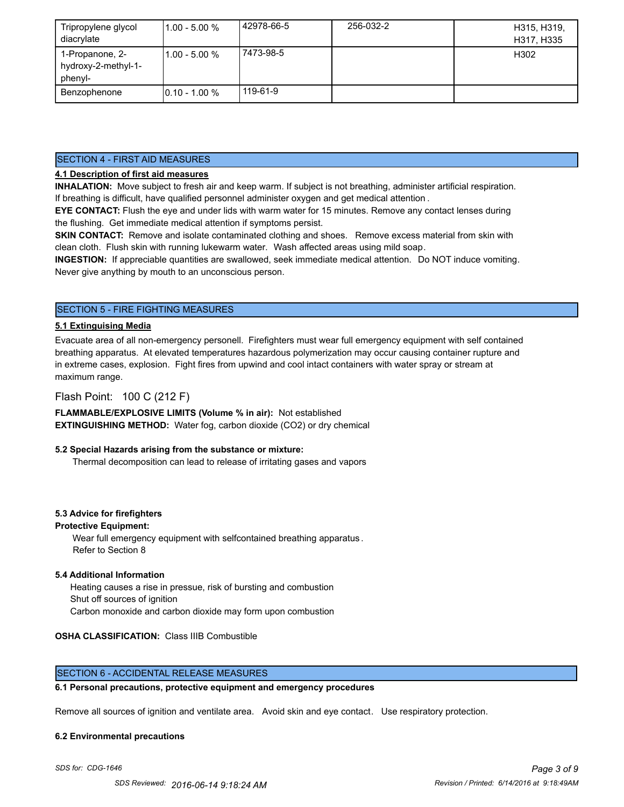| Tripropylene glycol<br>diacrylate                 | $11.00 - 5.00 %$ | 42978-66-5 | 256-032-2 | H315, H319,<br>H317, H335 |
|---------------------------------------------------|------------------|------------|-----------|---------------------------|
| 1-Propanone, 2-<br>hydroxy-2-methyl-1-<br>phenyl- | l1.00 - 5.00 %   | 7473-98-5  |           | H302                      |
| Benzophenone                                      | $10.10 - 1.00 %$ | 119-61-9   |           |                           |

## SECTION 4 - FIRST AID MEASURES

## **4.1 Description of first aid measures**

**INHALATION:** Move subject to fresh air and keep warm. If subject is not breathing, administer artificial respiration. If breathing is difficult, have qualified personnel administer oxygen and get medical attention .

**EYE CONTACT:** Flush the eye and under lids with warm water for 15 minutes. Remove any contact lenses during the flushing. Get immediate medical attention if symptoms persist.

**SKIN CONTACT:** Remove and isolate contaminated clothing and shoes. Remove excess material from skin with clean cloth. Flush skin with running lukewarm water. Wash affected areas using mild soap.

**INGESTION:** If appreciable quantities are swallowed, seek immediate medical attention. Do NOT induce vomiting. Never give anything by mouth to an unconscious person.

## SECTION 5 - FIRE FIGHTING MEASURES

## **5.1 Extinguising Media**

Evacuate area of all non-emergency personell. Firefighters must wear full emergency equipment with self contained breathing apparatus. At elevated temperatures hazardous polymerization may occur causing container rupture and in extreme cases, explosion. Fight fires from upwind and cool intact containers with water spray or stream at maximum range.

## Flash Point: 100 C (212 F)

**FLAMMABLE/EXPLOSIVE LIMITS (Volume % in air):** Not established **EXTINGUISHING METHOD:** Water fog, carbon dioxide (CO2) or dry chemical

### **5.2 Special Hazards arising from the substance or mixture:**

Thermal decomposition can lead to release of irritating gases and vapors

### **5.3 Advice for firefighters**

#### **Protective Equipment:**

Wear full emergency equipment with selfcontained breathing apparatus . Refer to Section 8

#### **5.4 Additional Information**

 Heating causes a rise in pressue, risk of bursting and combustion Shut off sources of ignition Carbon monoxide and carbon dioxide may form upon combustion

### **OSHA CLASSIFICATION:** Class IIIB Combustible

## SECTION 6 - ACCIDENTAL RELEASE MEASURES

#### **6.1 Personal precautions, protective equipment and emergency procedures**

Remove all sources of ignition and ventilate area. Avoid skin and eye contact. Use respiratory protection.

#### **6.2 Environmental precautions**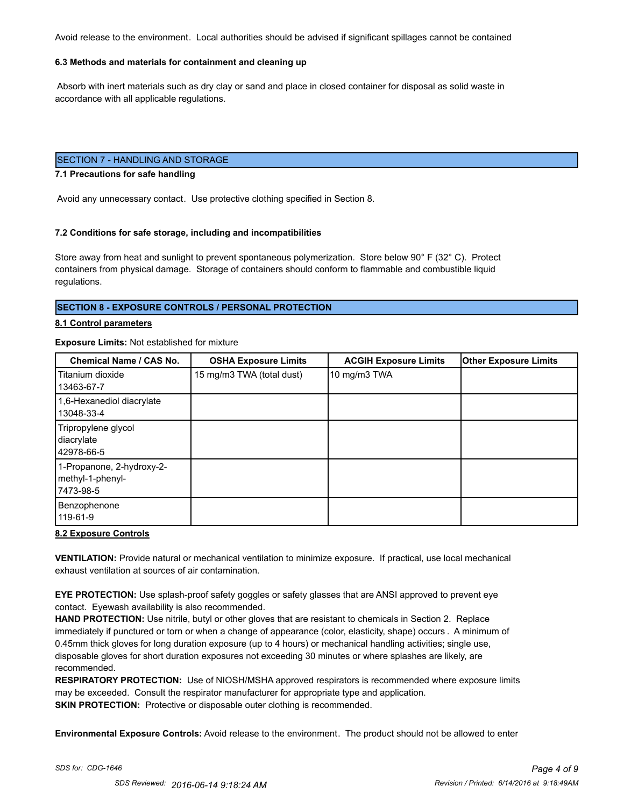Avoid release to the environment. Local authorities should be advised if significant spillages cannot be contained

## **6.3 Methods and materials for containment and cleaning up**

 Absorb with inert materials such as dry clay or sand and place in closed container for disposal as solid waste in accordance with all applicable regulations.

## SECTION 7 - HANDLING AND STORAGE

#### **7.1 Precautions for safe handling**

Avoid any unnecessary contact. Use protective clothing specified in Section 8.

#### **7.2 Conditions for safe storage, including and incompatibilities**

Store away from heat and sunlight to prevent spontaneous polymerization. Store below 90° F (32° C). Protect containers from physical damage. Storage of containers should conform to flammable and combustible liquid regulations.

### **SECTION 8 - EXPOSURE CONTROLS / PERSONAL PROTECTION**

### **8.1 Control parameters**

#### **Exposure Limits:** Not established for mixture

| <b>Chemical Name / CAS No.</b>                             | <b>OSHA Exposure Limits</b> | <b>ACGIH Exposure Limits</b> | <b>Other Exposure Limits</b> |
|------------------------------------------------------------|-----------------------------|------------------------------|------------------------------|
| Titanium dioxide<br>13463-67-7                             | 15 mg/m3 TWA (total dust)   | 10 mg/m3 TWA                 |                              |
| 1,6-Hexanediol diacrylate<br>13048-33-4                    |                             |                              |                              |
| Tripropylene glycol<br>diacrylate<br>42978-66-5            |                             |                              |                              |
| 1-Propanone, 2-hydroxy-2-<br>methyl-1-phenyl-<br>7473-98-5 |                             |                              |                              |
| Benzophenone<br>119-61-9                                   |                             |                              |                              |

#### **8.2 Exposure Controls**

**VENTILATION:** Provide natural or mechanical ventilation to minimize exposure. If practical, use local mechanical exhaust ventilation at sources of air contamination.

**EYE PROTECTION:** Use splash-proof safety goggles or safety glasses that are ANSI approved to prevent eye contact. Eyewash availability is also recommended.

**HAND PROTECTION:** Use nitrile, butyl or other gloves that are resistant to chemicals in Section 2. Replace immediately if punctured or torn or when a change of appearance (color, elasticity, shape) occurs . A minimum of 0.45mm thick gloves for long duration exposure (up to 4 hours) or mechanical handling activities; single use, disposable gloves for short duration exposures not exceeding 30 minutes or where splashes are likely, are recommended.

**RESPIRATORY PROTECTION:** Use of NIOSH/MSHA approved respirators is recommended where exposure limits may be exceeded. Consult the respirator manufacturer for appropriate type and application. **SKIN PROTECTION:** Protective or disposable outer clothing is recommended.

**Environmental Exposure Controls:** Avoid release to the environment. The product should not be allowed to enter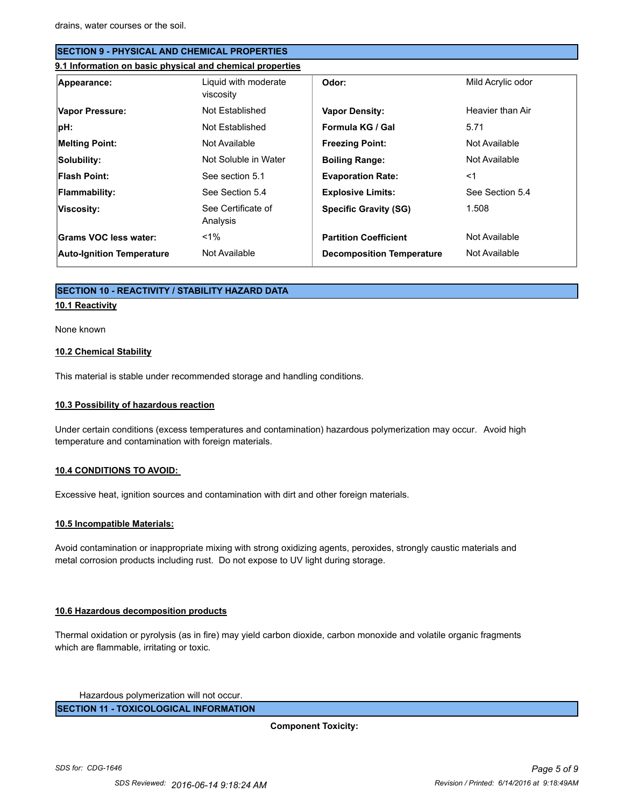| <b>ISECTION 9 - PHYSICAL AND CHEMICAL PROPERTIES</b> |                                                           |                                  |                   |  |  |
|------------------------------------------------------|-----------------------------------------------------------|----------------------------------|-------------------|--|--|
|                                                      | 9.1 Information on basic physical and chemical properties |                                  |                   |  |  |
| Appearance:                                          | Liquid with moderate<br>viscosity                         | Odor:                            | Mild Acrylic odor |  |  |
| Vapor Pressure:                                      | Not Established                                           | <b>Vapor Density:</b>            | Heavier than Air  |  |  |
| pH:                                                  | Not Established                                           | Formula KG / Gal                 | 5.71              |  |  |
| <b>Melting Point:</b>                                | Not Available                                             | <b>Freezing Point:</b>           | Not Available     |  |  |
| Solubility:                                          | Not Soluble in Water                                      | <b>Boiling Range:</b>            | Not Available     |  |  |
| Flash Point:                                         | See section 5.1                                           | <b>Evaporation Rate:</b>         | $<$ 1             |  |  |
| Flammability:                                        | See Section 5.4                                           | <b>Explosive Limits:</b>         | See Section 5.4   |  |  |
| Viscosity:                                           | See Certificate of<br>Analysis                            | <b>Specific Gravity (SG)</b>     | 1.508             |  |  |
| <b>Grams VOC less water:</b>                         | $1\%$                                                     | <b>Partition Coefficient</b>     | Not Available     |  |  |
| <b>Auto-Ignition Temperature</b>                     | Not Available                                             | <b>Decomposition Temperature</b> | Not Available     |  |  |

### **SECTION 10 - REACTIVITY / STABILITY HAZARD DATA**

## **10.1 Reactivity**

None known

#### **10.2 Chemical Stability**

This material is stable under recommended storage and handling conditions.

#### **10.3 Possibility of hazardous reaction**

Under certain conditions (excess temperatures and contamination) hazardous polymerization may occur. Avoid high temperature and contamination with foreign materials.

#### **10.4 CONDITIONS TO AVOID:**

Excessive heat, ignition sources and contamination with dirt and other foreign materials.

#### **10.5 Incompatible Materials:**

Avoid contamination or inappropriate mixing with strong oxidizing agents, peroxides, strongly caustic materials and metal corrosion products including rust. Do not expose to UV light during storage.

#### **10.6 Hazardous decomposition products**

Thermal oxidation or pyrolysis (as in fire) may yield carbon dioxide, carbon monoxide and volatile organic fragments which are flammable, irritating or toxic.

Hazardous polymerization will not occur.

**SECTION 11 - TOXICOLOGICAL INFORMATION**

**Component Toxicity:**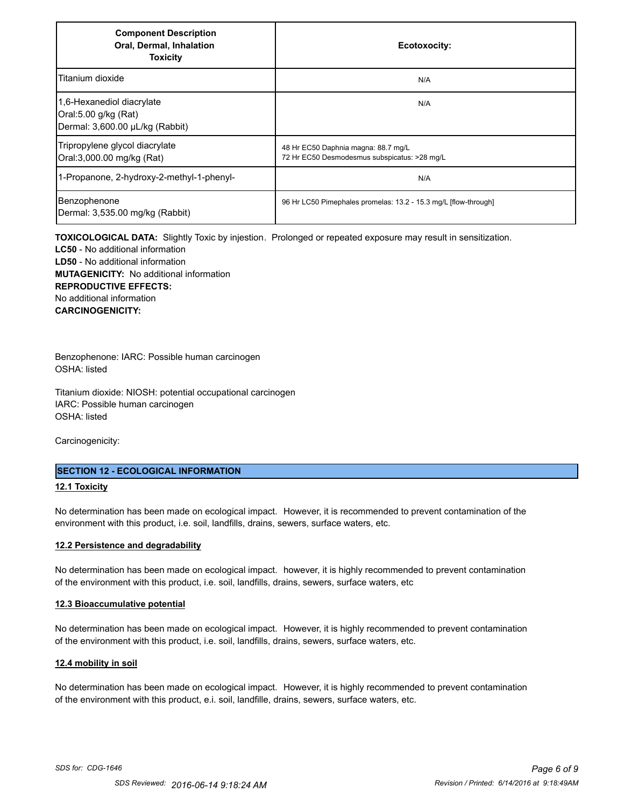| <b>Component Description</b><br>Oral, Dermal, Inhalation<br><b>Toxicity</b>          | Ecotoxocity:                                                                        |
|--------------------------------------------------------------------------------------|-------------------------------------------------------------------------------------|
| Titanium dioxide                                                                     | N/A                                                                                 |
| 1,6-Hexanediol diacrylate<br>Oral:5.00 g/kg (Rat)<br>Dermal: 3,600.00 µL/kg (Rabbit) | N/A                                                                                 |
| Tripropylene glycol diacrylate<br>Oral:3,000.00 mg/kg (Rat)                          | 48 Hr EC50 Daphnia magna: 88.7 mg/L<br>72 Hr EC50 Desmodesmus subspicatus: >28 mg/L |
| 1-Propanone, 2-hydroxy-2-methyl-1-phenyl-                                            | N/A                                                                                 |
| Benzophenone<br>Dermal: 3,535.00 mg/kg (Rabbit)                                      | 96 Hr LC50 Pimephales promelas: 13.2 - 15.3 mg/L [flow-through]                     |

**TOXICOLOGICAL DATA:** Slightly Toxic by injestion. Prolonged or repeated exposure may result in sensitization. **LC50** - No additional information **LD50** - No additional information **MUTAGENICITY:** No additional information **REPRODUCTIVE EFFECTS:** No additional information **CARCINOGENICITY:**

Benzophenone: IARC: Possible human carcinogen OSHA: listed

Titanium dioxide: NIOSH: potential occupational carcinogen IARC: Possible human carcinogen OSHA: listed

Carcinogenicity:

## **SECTION 12 - ECOLOGICAL INFORMATION**

## **12.1 Toxicity**

No determination has been made on ecological impact. However, it is recommended to prevent contamination of the environment with this product, i.e. soil, landfills, drains, sewers, surface waters, etc.

#### **12.2 Persistence and degradability**

No determination has been made on ecological impact. however, it is highly recommended to prevent contamination of the environment with this product, i.e. soil, landfills, drains, sewers, surface waters, etc

#### **12.3 Bioaccumulative potential**

No determination has been made on ecological impact. However, it is highly recommended to prevent contamination of the environment with this product, i.e. soil, landfills, drains, sewers, surface waters, etc.

#### **12.4 mobility in soil**

No determination has been made on ecological impact. However, it is highly recommended to prevent contamination of the environment with this product, e.i. soil, landfille, drains, sewers, surface waters, etc.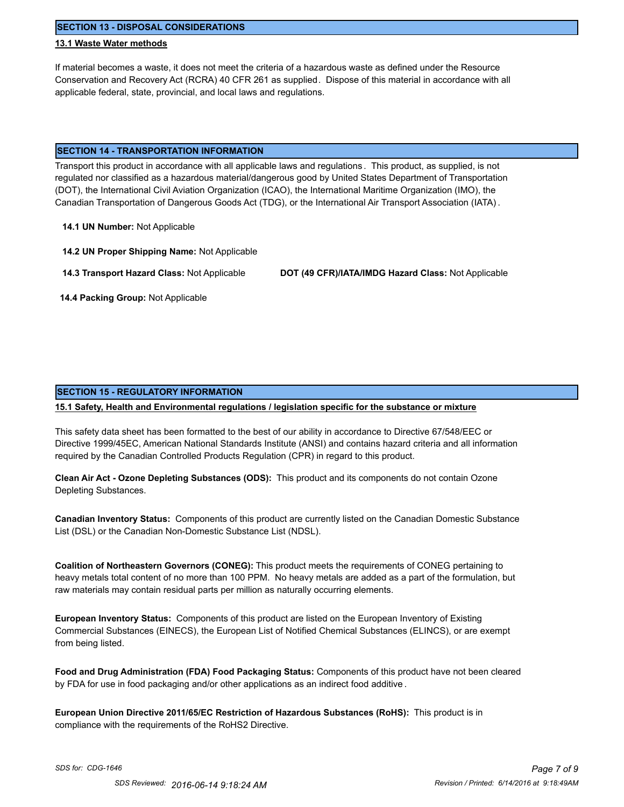**SECTION 13 - DISPOSAL CONSIDERATIONS**

## **13.1 Waste Water methods**

If material becomes a waste, it does not meet the criteria of a hazardous waste as defined under the Resource Conservation and Recovery Act (RCRA) 40 CFR 261 as supplied. Dispose of this material in accordance with all applicable federal, state, provincial, and local laws and regulations.

#### **SECTION 14 - TRANSPORTATION INFORMATION**

Transport this product in accordance with all applicable laws and regulations . This product, as supplied, is not regulated nor classified as a hazardous material/dangerous good by United States Department of Transportation (DOT), the International Civil Aviation Organization (ICAO), the International Maritime Organization (IMO), the Canadian Transportation of Dangerous Goods Act (TDG), or the International Air Transport Association (IATA) .

**14.1 UN Number:** Not Applicable

**14.2 UN Proper Shipping Name:** Not Applicable

**14.3 Transport Hazard Class:** Not Applicable **DOT (49 CFR)/IATA/IMDG Hazard Class:** Not Applicable

 **14.4 Packing Group:** Not Applicable

#### **SECTION 15 - REGULATORY INFORMATION**

#### **15.1 Safety, Health and Environmental regulations / legislation specific for the substance or mixture**

This safety data sheet has been formatted to the best of our ability in accordance to Directive 67/548/EEC or Directive 1999/45EC, American National Standards Institute (ANSI) and contains hazard criteria and all information required by the Canadian Controlled Products Regulation (CPR) in regard to this product.

**Clean Air Act - Ozone Depleting Substances (ODS):** This product and its components do not contain Ozone Depleting Substances.

**Canadian Inventory Status:** Components of this product are currently listed on the Canadian Domestic Substance List (DSL) or the Canadian Non-Domestic Substance List (NDSL).

**Coalition of Northeastern Governors (CONEG):** This product meets the requirements of CONEG pertaining to heavy metals total content of no more than 100 PPM. No heavy metals are added as a part of the formulation, but raw materials may contain residual parts per million as naturally occurring elements.

**European Inventory Status:** Components of this product are listed on the European Inventory of Existing Commercial Substances (EINECS), the European List of Notified Chemical Substances (ELINCS), or are exempt from being listed.

**Food and Drug Administration (FDA) Food Packaging Status:** Components of this product have not been cleared by FDA for use in food packaging and/or other applications as an indirect food additive .

**European Union Directive 2011/65/EC Restriction of Hazardous Substances (RoHS):** This product is in compliance with the requirements of the RoHS2 Directive.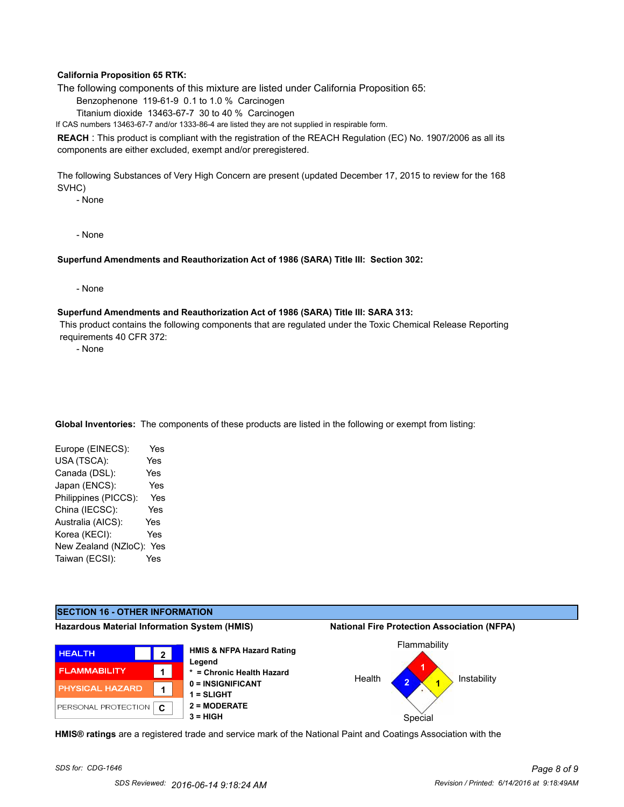## **California Proposition 65 RTK:**

The following components of this mixture are listed under California Proposition 65:

Benzophenone 119-61-9 0.1 to 1.0 % Carcinogen

Titanium dioxide 13463-67-7 30 to 40 % Carcinogen

If CAS numbers 13463-67-7 and/or 1333-86-4 are listed they are not supplied in respirable form.

**REACH** : This product is compliant with the registration of the REACH Regulation (EC) No. 1907/2006 as all its components are either excluded, exempt and/or preregistered.

The following Substances of Very High Concern are present (updated December 17, 2015 to review for the 168 SVHC)

- None

- None

### **Superfund Amendments and Reauthorization Act of 1986 (SARA) Title III: Section 302:**

- None

#### **Superfund Amendments and Reauthorization Act of 1986 (SARA) Title III: SARA 313:**

 This product contains the following components that are regulated under the Toxic Chemical Release Reporting requirements 40 CFR 372:

- None

**Global Inventories:** The components of these products are listed in the following or exempt from listing:

| Europe (EINECS):     | Yes |
|----------------------|-----|
| USA (TSCA):          | Yes |
| Canada (DSL):        | Yes |
| Japan (ENCS):        | Yes |
| Philippines (PICCS): | Yes |
| China (IECSC):       | Yes |
| Australia (AICS):    | Yes |
| Korea (KECI):        | Yes |
| New Zealand (NZloC): | Yes |
| Taiwan (ECSI):       | Yes |
|                      |     |



**HMIS® ratings** are a registered trade and service mark of the National Paint and Coatings Association with the